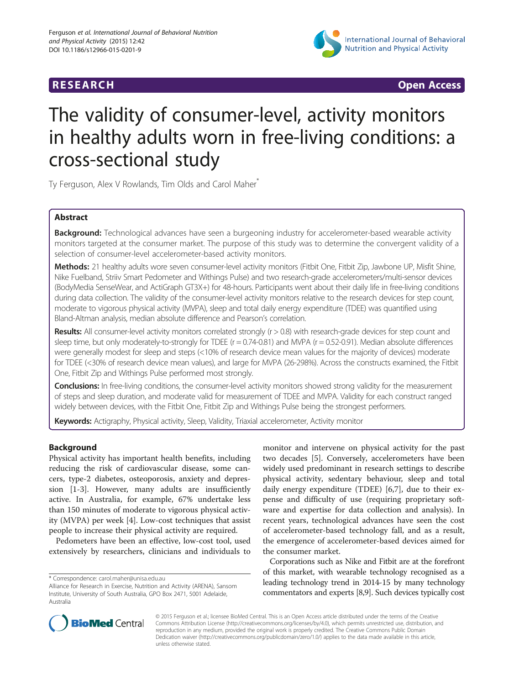## **RESEARCH RESEARCH CONSUMING ACCESS**



# The validity of consumer-level, activity monitors in healthy adults worn in free-living conditions: a cross-sectional study

Ty Ferguson, Alex V Rowlands, Tim Olds and Carol Maher<sup>\*</sup>

## Abstract

Background: Technological advances have seen a burgeoning industry for accelerometer-based wearable activity monitors targeted at the consumer market. The purpose of this study was to determine the convergent validity of a selection of consumer-level accelerometer-based activity monitors.

Methods: 21 healthy adults wore seven consumer-level activity monitors (Fitbit One, Fitbit Zip, Jawbone UP, Misfit Shine, Nike Fuelband, Striiv Smart Pedometer and Withings Pulse) and two research-grade accelerometers/multi-sensor devices (BodyMedia SenseWear, and ActiGraph GT3X+) for 48-hours. Participants went about their daily life in free-living conditions during data collection. The validity of the consumer-level activity monitors relative to the research devices for step count, moderate to vigorous physical activity (MVPA), sleep and total daily energy expenditure (TDEE) was quantified using Bland-Altman analysis, median absolute difference and Pearson's correlation.

Results: All consumer-level activity monitors correlated strongly  $(r > 0.8)$  with research-grade devices for step count and sleep time, but only moderately-to-strongly for TDEE ( $r = 0.74-0.81$ ) and MVPA ( $r = 0.52-0.91$ ). Median absolute differences were generally modest for sleep and steps (<10% of research device mean values for the majority of devices) moderate for TDEE (<30% of research device mean values), and large for MVPA (26-298%). Across the constructs examined, the Fitbit One, Fitbit Zip and Withings Pulse performed most strongly.

Conclusions: In free-living conditions, the consumer-level activity monitors showed strong validity for the measurement of steps and sleep duration, and moderate valid for measurement of TDEE and MVPA. Validity for each construct ranged widely between devices, with the Fitbit One, Fitbit Zip and Withings Pulse being the strongest performers.

Keywords: Actigraphy, Physical activity, Sleep, Validity, Triaxial accelerometer, Activity monitor

## Background

Physical activity has important health benefits, including reducing the risk of cardiovascular disease, some cancers, type-2 diabetes, osteoporosis, anxiety and depression [\[1](#page-8-0)-[3\]](#page-8-0). However, many adults are insufficiently active. In Australia, for example, 67% undertake less than 150 minutes of moderate to vigorous physical activity (MVPA) per week [[4](#page-8-0)]. Low-cost techniques that assist people to increase their physical activity are required.

Pedometers have been an effective, low-cost tool, used extensively by researchers, clinicians and individuals to

monitor and intervene on physical activity for the past two decades [\[5](#page-8-0)]. Conversely, accelerometers have been widely used predominant in research settings to describe physical activity, sedentary behaviour, sleep and total daily energy expenditure (TDEE) [[6,7\]](#page-8-0), due to their expense and difficulty of use (requiring proprietary software and expertise for data collection and analysis). In recent years, technological advances have seen the cost of accelerometer-based technology fall, and as a result, the emergence of accelerometer-based devices aimed for the consumer market.

Corporations such as Nike and Fitbit are at the forefront of this market, with wearable technology recognised as a leading technology trend in 2014-15 by many technology commentators and experts [[8,9](#page-8-0)]. Such devices typically cost



© 2015 Ferguson et al.; licensee BioMed Central. This is an Open Access article distributed under the terms of the Creative Commons Attribution License [\(http://creativecommons.org/licenses/by/4.0\)](http://creativecommons.org/licenses/by/4.0), which permits unrestricted use, distribution, and reproduction in any medium, provided the original work is properly credited. The Creative Commons Public Domain Dedication waiver [\(http://creativecommons.org/publicdomain/zero/1.0/](http://creativecommons.org/publicdomain/zero/1.0/)) applies to the data made available in this article, unless otherwise stated.

<sup>\*</sup> Correspondence: [carol.maher@unisa.edu.au](mailto:carol.maher@unisa.edu.au)

Alliance for Research in Exercise, Nutrition and Activity (ARENA), Sansom Institute, University of South Australia, GPO Box 2471, 5001 Adelaide, Australia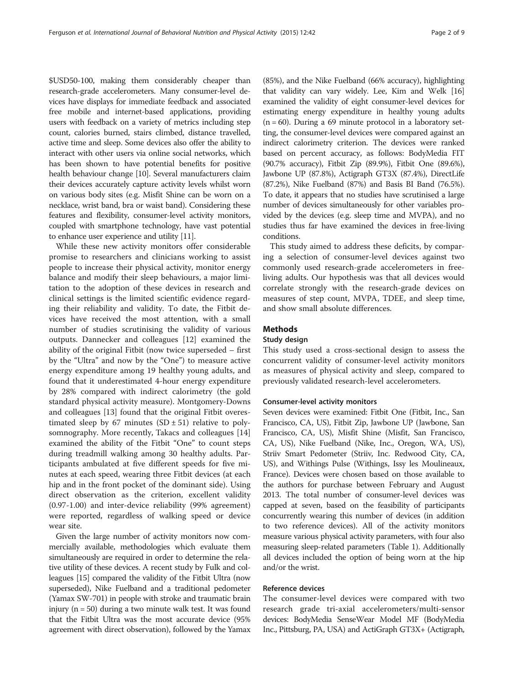\$USD50-100, making them considerably cheaper than research-grade accelerometers. Many consumer-level devices have displays for immediate feedback and associated free mobile and internet-based applications, providing users with feedback on a variety of metrics including step count, calories burned, stairs climbed, distance travelled, active time and sleep. Some devices also offer the ability to interact with other users via online social networks, which has been shown to have potential benefits for positive health behaviour change [\[10\]](#page-8-0). Several manufacturers claim their devices accurately capture activity levels whilst worn on various body sites (e.g. Misfit Shine can be worn on a necklace, wrist band, bra or waist band). Considering these features and flexibility, consumer-level activity monitors, coupled with smartphone technology, have vast potential to enhance user experience and utility [\[11\]](#page-8-0).

While these new activity monitors offer considerable promise to researchers and clinicians working to assist people to increase their physical activity, monitor energy balance and modify their sleep behaviours, a major limitation to the adoption of these devices in research and clinical settings is the limited scientific evidence regarding their reliability and validity. To date, the Fitbit devices have received the most attention, with a small number of studies scrutinising the validity of various outputs. Dannecker and colleagues [[12\]](#page-8-0) examined the ability of the original Fitbit (now twice superseded – first by the "Ultra" and now by the "One") to measure active energy expenditure among 19 healthy young adults, and found that it underestimated 4-hour energy expenditure by 28% compared with indirect calorimetry (the gold standard physical activity measure). Montgomery-Downs and colleagues [\[13\]](#page-8-0) found that the original Fitbit overestimated sleep by 67 minutes  $(SD \pm 51)$  relative to polysomnography. More recently, Takacs and colleagues [[14](#page-8-0)] examined the ability of the Fitbit "One" to count steps during treadmill walking among 30 healthy adults. Participants ambulated at five different speeds for five minutes at each speed, wearing three Fitbit devices (at each hip and in the front pocket of the dominant side). Using direct observation as the criterion, excellent validity (0.97-1.00) and inter-device reliability (99% agreement) were reported, regardless of walking speed or device wear site.

Given the large number of activity monitors now commercially available, methodologies which evaluate them simultaneously are required in order to determine the relative utility of these devices. A recent study by Fulk and colleagues [\[15\]](#page-8-0) compared the validity of the Fitbit Ultra (now superseded), Nike Fuelband and a traditional pedometer (Yamax SW-701) in people with stroke and traumatic brain injury ( $n = 50$ ) during a two minute walk test. It was found that the Fitbit Ultra was the most accurate device (95% agreement with direct observation), followed by the Yamax (85%), and the Nike Fuelband (66% accuracy), highlighting that validity can vary widely. Lee, Kim and Welk [\[16](#page-8-0)] examined the validity of eight consumer-level devices for estimating energy expenditure in healthy young adults  $(n = 60)$ . During a 69 minute protocol in a laboratory setting, the consumer-level devices were compared against an indirect calorimetry criterion. The devices were ranked based on percent accuracy, as follows: BodyMedia FIT (90.7% accuracy), Fitbit Zip (89.9%), Fitbit One (89.6%), Jawbone UP (87.8%), Actigraph GT3X (87.4%), DirectLife (87.2%), Nike Fuelband (87%) and Basis BI Band (76.5%). To date, it appears that no studies have scrutinised a large number of devices simultaneously for other variables provided by the devices (e.g. sleep time and MVPA), and no studies thus far have examined the devices in free-living conditions.

This study aimed to address these deficits, by comparing a selection of consumer-level devices against two commonly used research-grade accelerometers in freeliving adults. Our hypothesis was that all devices would correlate strongly with the research-grade devices on measures of step count, MVPA, TDEE, and sleep time, and show small absolute differences.

### **Methods**

#### Study design

This study used a cross-sectional design to assess the concurrent validity of consumer-level activity monitors as measures of physical activity and sleep, compared to previously validated research-level accelerometers.

## Consumer-level activity monitors

Seven devices were examined: Fitbit One (Fitbit, Inc., San Francisco, CA, US), Fitbit Zip, Jawbone UP (Jawbone, San Francisco, CA, US), Misfit Shine (Misfit, San Francisco, CA, US), Nike Fuelband (Nike, Inc., Oregon, WA, US), Striiv Smart Pedometer (Striiv, Inc. Redwood City, CA, US), and Withings Pulse (Withings, Issy les Moulineaux, France). Devices were chosen based on those available to the authors for purchase between February and August 2013. The total number of consumer-level devices was capped at seven, based on the feasibility of participants concurrently wearing this number of devices (in addition to two reference devices). All of the activity monitors measure various physical activity parameters, with four also measuring sleep-related parameters (Table [1\)](#page-2-0). Additionally all devices included the option of being worn at the hip and/or the wrist.

#### Reference devices

The consumer-level devices were compared with two research grade tri-axial accelerometers/multi-sensor devices: BodyMedia SenseWear Model MF (BodyMedia Inc., Pittsburg, PA, USA) and ActiGraph GT3X+ (Actigraph,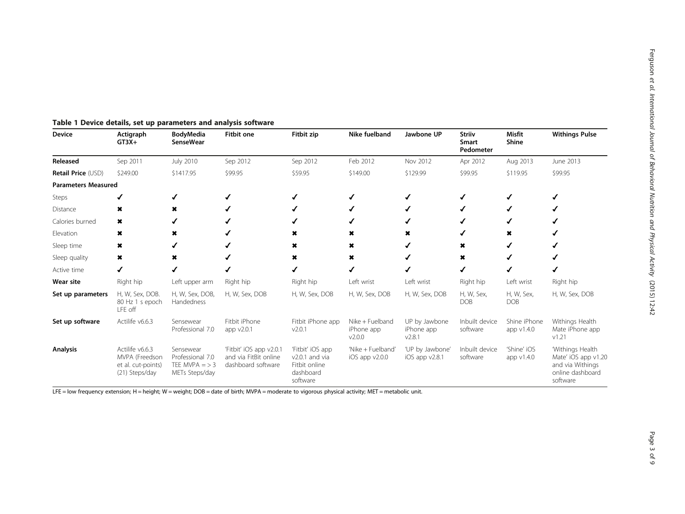| <b>Device</b>              | Actigraph<br>$GT3X+$                                                      | <b>BodyMedia</b><br><b>SenseWear</b>                                | <b>Fitbit one</b>                                                      | Fitbit zip                                                                   | Nike fuelband                           | Jawbone UP                            | <b>Striiv</b><br><b>Smart</b><br>Pedometer | Misfit<br>Shine            | <b>Withings Pulse</b>                                                                       |
|----------------------------|---------------------------------------------------------------------------|---------------------------------------------------------------------|------------------------------------------------------------------------|------------------------------------------------------------------------------|-----------------------------------------|---------------------------------------|--------------------------------------------|----------------------------|---------------------------------------------------------------------------------------------|
| Released                   | Sep 2011                                                                  | <b>July 2010</b>                                                    | Sep 2012                                                               | Sep 2012                                                                     | Feb 2012                                | Nov 2012                              | Apr 2012                                   | Aug 2013                   | June 2013                                                                                   |
| <b>Retail Price (USD)</b>  | \$249.00                                                                  | \$1417.95                                                           | \$99.95                                                                | \$59.95                                                                      | \$149.00                                | \$129.99                              | \$99.95                                    | \$119.95                   | \$99.95                                                                                     |
| <b>Parameters Measured</b> |                                                                           |                                                                     |                                                                        |                                                                              |                                         |                                       |                                            |                            |                                                                                             |
| Steps                      |                                                                           |                                                                     |                                                                        |                                                                              |                                         |                                       |                                            |                            |                                                                                             |
| Distance                   |                                                                           |                                                                     |                                                                        |                                                                              |                                         |                                       |                                            |                            |                                                                                             |
| Calories burned            | ×                                                                         |                                                                     |                                                                        |                                                                              |                                         |                                       |                                            |                            |                                                                                             |
| Elevation                  | ×                                                                         | ×                                                                   |                                                                        |                                                                              |                                         | ×                                     |                                            | ×                          |                                                                                             |
| Sleep time                 | ×                                                                         |                                                                     |                                                                        |                                                                              | ×                                       |                                       | ×                                          |                            |                                                                                             |
| Sleep quality              | ×                                                                         |                                                                     |                                                                        |                                                                              | ×                                       |                                       | ×                                          |                            |                                                                                             |
| Active time                |                                                                           |                                                                     |                                                                        |                                                                              |                                         |                                       |                                            |                            |                                                                                             |
| Wear site                  | Right hip                                                                 | Left upper arm                                                      | Right hip                                                              | Right hip                                                                    | Left wrist                              | Left wrist                            | Right hip                                  | Left wrist                 | Right hip                                                                                   |
| Set up parameters          | H, W, Sex, DOB.<br>80 Hz 1 s epoch<br>LFE off                             | H, W, Sex, DOB,<br>Handedness                                       | H, W, Sex, DOB                                                         | H, W, Sex, DOB                                                               | H, W, Sex, DOB                          | H, W, Sex, DOB                        | H, W, Sex,<br><b>DOB</b>                   | H, W, Sex,<br><b>DOB</b>   | H, W, Sex, DOB                                                                              |
| Set up software            | Actilife v6.6.3                                                           | Sensewear<br>Professional 7.0                                       | Fitbit iPhone<br>app v2.0.1                                            | Fitbit iPhone app<br>V2.0.1                                                  | Nike + Fuelband<br>iPhone app<br>V2.0.0 | UP by Jawbone<br>iPhone app<br>V2.8.1 | Inbuilt device<br>software                 | Shine iPhone<br>app v1.4.0 | Withings Health<br>Mate iPhone app<br>V1.21                                                 |
| <b>Analysis</b>            | Actilife v6.6.3<br>MVPA (Freedson<br>et al. cut-points)<br>(21) Steps/day | Sensewear<br>Professional 7.0<br>TEE MVPA $=$ > 3<br>METs Steps/day | 'Fitbit' iOS app v2.0.1<br>and via FitBit online<br>dashboard software | 'Fitbit' iOS app<br>v2.0.1 and via<br>Fitbit online<br>dashboard<br>software | 'Nike + Fuelband'<br>$iOS$ app $v2.0.0$ | 'UP by Jawbone'<br>$iOS$ app $v2.8.1$ | Inbuilt device<br>software                 | 'Shine' iOS<br>app v1.4.0  | 'Withings Health<br>Mate' iOS app v1.20<br>and via Withings<br>online dashboard<br>software |

## <span id="page-2-0"></span>Table 1 Device details, set up parameters and analysis software

LFE = low frequency extension; H = height; W = weight; DOB = date of birth; MVPA = moderate to vigorous physical activity; MET = metabolic unit.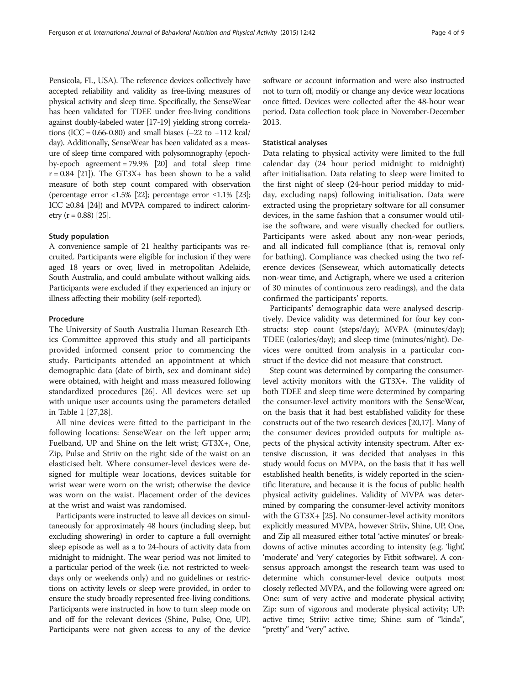Pensicola, FL, USA). The reference devices collectively have accepted reliability and validity as free-living measures of physical activity and sleep time. Specifically, the SenseWear has been validated for TDEE under free-living conditions against doubly-labeled water [[17-19\]](#page-8-0) yielding strong correlations (ICC =  $0.66 - 0.80$ ) and small biases ( $-22$  to  $+112$  kcal/ day). Additionally, SenseWear has been validated as a measure of sleep time compared with polysomnography (epochby-epoch agreement = 79.9% [[20](#page-8-0)] and total sleep time  $r = 0.84$  [\[21](#page-8-0)]). The GT3X+ has been shown to be a valid measure of both step count compared with observation (percentage error <1.5% [[22\]](#page-8-0); percentage error ≤1.1% [\[23\]](#page-8-0); ICC  $\geq$ 0.84 [\[24](#page-8-0)]) and MVPA compared to indirect calorimetry  $(r = 0.88)$  [\[25](#page-8-0)].

#### Study population

A convenience sample of 21 healthy participants was recruited. Participants were eligible for inclusion if they were aged 18 years or over, lived in metropolitan Adelaide, South Australia, and could ambulate without walking aids. Participants were excluded if they experienced an injury or illness affecting their mobility (self-reported).

#### Procedure

The University of South Australia Human Research Ethics Committee approved this study and all participants provided informed consent prior to commencing the study. Participants attended an appointment at which demographic data (date of birth, sex and dominant side) were obtained, with height and mass measured following standardized procedures [\[26\]](#page-8-0). All devices were set up with unique user accounts using the parameters detailed in Table [1](#page-2-0) [[27](#page-8-0),[28](#page-8-0)].

All nine devices were fitted to the participant in the following locations: SenseWear on the left upper arm; Fuelband, UP and Shine on the left wrist; GT3X+, One, Zip, Pulse and Striiv on the right side of the waist on an elasticised belt. Where consumer-level devices were designed for multiple wear locations, devices suitable for wrist wear were worn on the wrist; otherwise the device was worn on the waist. Placement order of the devices at the wrist and waist was randomised.

Participants were instructed to leave all devices on simultaneously for approximately 48 hours (including sleep, but excluding showering) in order to capture a full overnight sleep episode as well as a to 24-hours of activity data from midnight to midnight. The wear period was not limited to a particular period of the week (i.e. not restricted to weekdays only or weekends only) and no guidelines or restrictions on activity levels or sleep were provided, in order to ensure the study broadly represented free-living conditions. Participants were instructed in how to turn sleep mode on and off for the relevant devices (Shine, Pulse, One, UP). Participants were not given access to any of the device software or account information and were also instructed not to turn off, modify or change any device wear locations once fitted. Devices were collected after the 48-hour wear period. Data collection took place in November-December 2013.

#### Statistical analyses

Data relating to physical activity were limited to the full calendar day (24 hour period midnight to midnight) after initialisation. Data relating to sleep were limited to the first night of sleep (24-hour period midday to midday, excluding naps) following initialisation. Data were extracted using the proprietary software for all consumer devices, in the same fashion that a consumer would utilise the software, and were visually checked for outliers. Participants were asked about any non-wear periods, and all indicated full compliance (that is, removal only for bathing). Compliance was checked using the two reference devices (Sensewear, which automatically detects non-wear time, and Actigraph, where we used a criterion of 30 minutes of continuous zero readings), and the data confirmed the participants' reports.

Participants' demographic data were analysed descriptively. Device validity was determined for four key constructs: step count (steps/day); MVPA (minutes/day); TDEE (calories/day); and sleep time (minutes/night). Devices were omitted from analysis in a particular construct if the device did not measure that construct.

Step count was determined by comparing the consumerlevel activity monitors with the GT3X+. The validity of both TDEE and sleep time were determined by comparing the consumer-level activity monitors with the SenseWear, on the basis that it had best established validity for these constructs out of the two research devices [[20,17\]](#page-8-0). Many of the consumer devices provided outputs for multiple aspects of the physical activity intensity spectrum. After extensive discussion, it was decided that analyses in this study would focus on MVPA, on the basis that it has well established health benefits, is widely reported in the scientific literature, and because it is the focus of public health physical activity guidelines. Validity of MVPA was determined by comparing the consumer-level activity monitors with the GT3X+ [\[25\]](#page-8-0). No consumer-level activity monitors explicitly measured MVPA, however Striiv, Shine, UP, One, and Zip all measured either total 'active minutes' or breakdowns of active minutes according to intensity (e.g. 'light,' 'moderate' and 'very' categories by Fitbit software). A consensus approach amongst the research team was used to determine which consumer-level device outputs most closely reflected MVPA, and the following were agreed on: One: sum of very active and moderate physical activity; Zip: sum of vigorous and moderate physical activity; UP: active time; Striiv: active time; Shine: sum of "kinda", "pretty" and "very" active.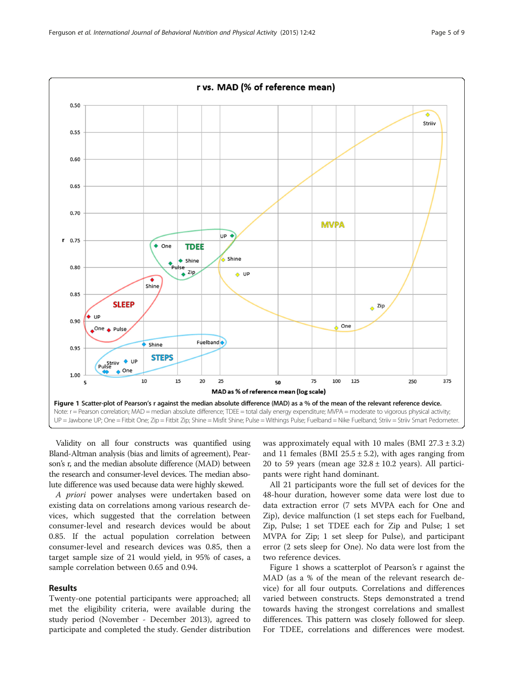

Validity on all four constructs was quantified using Bland-Altman analysis (bias and limits of agreement), Pearson's r, and the median absolute difference (MAD) between the research and consumer-level devices. The median absolute difference was used because data were highly skewed.

A priori power analyses were undertaken based on existing data on correlations among various research devices, which suggested that the correlation between consumer-level and research devices would be about 0.85. If the actual population correlation between consumer-level and research devices was 0.85, then a target sample size of 21 would yield, in 95% of cases, a sample correlation between 0.65 and 0.94.

## Results

Twenty-one potential participants were approached; all met the eligibility criteria, were available during the study period (November - December 2013), agreed to participate and completed the study. Gender distribution was approximately equal with 10 males (BMI  $27.3 \pm 3.2$ ) and 11 females (BMI  $25.5 \pm 5.2$ ), with ages ranging from 20 to 59 years (mean age  $32.8 \pm 10.2$  years). All participants were right hand dominant.

All 21 participants wore the full set of devices for the 48-hour duration, however some data were lost due to data extraction error (7 sets MVPA each for One and Zip), device malfunction (1 set steps each for Fuelband, Zip, Pulse; 1 set TDEE each for Zip and Pulse; 1 set MVPA for Zip; 1 set sleep for Pulse), and participant error (2 sets sleep for One). No data were lost from the two reference devices.

Figure 1 shows a scatterplot of Pearson's r against the MAD (as a % of the mean of the relevant research device) for all four outputs. Correlations and differences varied between constructs. Steps demonstrated a trend towards having the strongest correlations and smallest differences. This pattern was closely followed for sleep. For TDEE, correlations and differences were modest.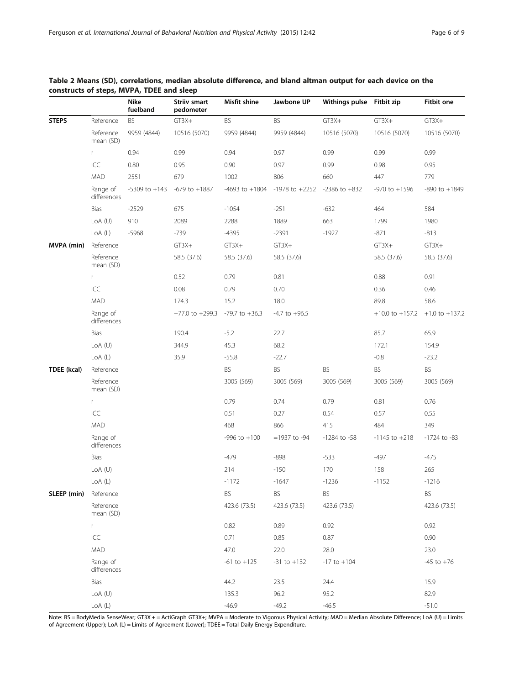## Nike fuelband Striiv smart pedometer Misfit shine Jawbone UP Withings pulse Fitbit zip Fitbit one **STEPS** Reference BS GT3X+ BS BS GT3X+ GT3X+ GT3X+ GT3X+ Reference mean (SD) 9959 (4844) 10516 (5070) 9959 (4844) 9959 (4844) 10516 (5070) 10516 (5070) 10516 (5070) r 0.94 0.99 0.94 0.97 0.99 0.99 0.99 ICC 0.80 0.95 0.90 0.97 0.99 0.98 0.95 MAD 2551 679 1002 806 660 447 779 Range of differences -5309 to +143 -679 to +1887 -4693 to +1804 -1978 to +2252 -2386 to +832 -970 to +1596 -890 to +1849 Bias -2529 675 -1054 -251 -632 464 584 LoA (U) 910 2089 2288 1889 663 1799 1980 LoA (L) -5968 -739 -4395 -2391 -1927 -871 -813  $\textsf{MVPA (min)}$  Reference  $\textsf{GT3X+}$   $\textsf{GT3X+}$   $\textsf{GT3X+}$   $\textsf{GT3X+}$   $\textsf{GT3X+}$   $\textsf{GT3X+}$ Reference mean (SD) 58.5 (37.6) 58.5 (37.6) 58.5 (37.6) 58.5 (37.6) 58.5 (37.6) r 0.52 0.79 0.81 0.88 0.91 ICC 0.08 0.79 0.70 0.36 0.46 MAD 174.3 15.2 18.0 89.8 58.6 Range of differences  $+77.0$  to  $+299.3$   $-79.7$  to  $+36.3$   $-4.7$  to  $+96.5$   $+10.0$  to  $+157.2$   $+1.0$  to  $+137.2$ Bias 190.4 -5.2 22.7 85.7 65.9 LoA (U) 344.9 45.3 68.2 172.1 154.9 LoA (L) 35.9 -55.8 -22.7 -0.8 -0.8 -23.2 TDEE (kcal) Reference BS BS BS BS BS Reference mean (SD) 3005 (569) 3005 (569) 3005 (569) 3005 (569) 3005 (569) r 0.79 0.74 0.79 0.81 0.76 ICC 0.51 0.27 0.54 0.57 0.55 MAD 349 468 866 415 484 349 Range of differences -996 to +100 = 1937 to -94 -1284 to -58 -1145 to +218 -1724 to -83 Bias -479 -479 -898 -533 -497 -475 -475 -988 -533 -497 -475 LoA (U) 214 -150 170 158 265 LoA (L) -1172 -1647 -1236 -1152 -1216 SLEEP (min) Reference BS BS BS BS Reference mean (SD) 423.6 (73.5) 423.6 (73.5) 423.6 (73.5) 423.6 (73.5) r 0.82 0.89 0.92 0.92 ICC 0.71 0.85 0.87 0.90 MAD 47.0 22.0 28.0 23.0 Range of differences  $-61$  to  $+125$   $-31$  to  $+132$   $-17$  to  $+104$   $-45$  to  $+76$ Bias 44.2 23.5 24.4 15.9 LoA (U) 135.3 96.2 95.2 82.9  $\text{LoA (L)}$  -46.9 -49.2 -46.5 -51.0

<span id="page-5-0"></span>Table 2 Means (SD), correlations, median absolute difference, and bland altman output for each device on the constructs of steps, MVPA, TDEE and sleep

Note: BS = BodyMedia SenseWear; GT3X + = ActiGraph GT3X+; MVPA = Moderate to Vigorous Physical Activity; MAD = Median Absolute Difference; LoA (U) = Limits of Agreement (Upper); LoA (L) = Limits of Agreement (Lower); TDEE = Total Daily Energy Expenditure.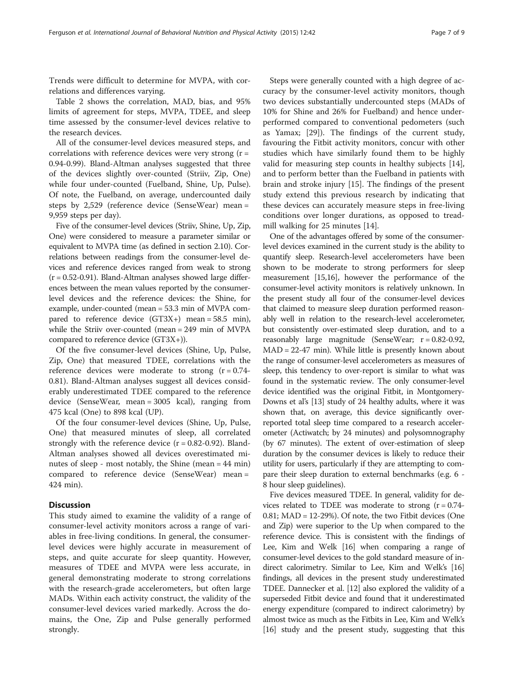Trends were difficult to determine for MVPA, with correlations and differences varying.

Table [2](#page-5-0) shows the correlation, MAD, bias, and 95% limits of agreement for steps, MVPA, TDEE, and sleep time assessed by the consumer-level devices relative to the research devices.

All of the consumer-level devices measured steps, and correlations with reference devices were very strong  $(r =$ 0.94-0.99). Bland-Altman analyses suggested that three of the devices slightly over-counted (Striiv, Zip, One) while four under-counted (Fuelband, Shine, Up, Pulse). Of note, the Fuelband, on average, undercounted daily steps by 2,529 (reference device (SenseWear) mean = 9,959 steps per day).

Five of the consumer-level devices (Striiv, Shine, Up, Zip, One) were considered to measure a parameter similar or equivalent to MVPA time (as defined in section 2.10). Correlations between readings from the consumer-level devices and reference devices ranged from weak to strong  $(r = 0.52 - 0.91)$ . Bland-Altman analyses showed large differences between the mean values reported by the consumerlevel devices and the reference devices: the Shine, for example, under-counted (mean = 53.3 min of MVPA compared to reference device  $(GT3X+)$  mean = 58.5 min), while the Striiv over-counted (mean = 249 min of MVPA compared to reference device (GT3X+)).

Of the five consumer-level devices (Shine, Up, Pulse, Zip, One) that measured TDEE, correlations with the reference devices were moderate to strong  $(r = 0.74$ -0.81). Bland-Altman analyses suggest all devices considerably underestimated TDEE compared to the reference device (SenseWear, mean = 3005 kcal), ranging from 475 kcal (One) to 898 kcal (UP).

Of the four consumer-level devices (Shine, Up, Pulse, One) that measured minutes of sleep, all correlated strongly with the reference device  $(r = 0.82 - 0.92)$ . Bland-Altman analyses showed all devices overestimated minutes of sleep - most notably, the Shine (mean = 44 min) compared to reference device (SenseWear) mean = 424 min).

## Discussion

This study aimed to examine the validity of a range of consumer-level activity monitors across a range of variables in free-living conditions. In general, the consumerlevel devices were highly accurate in measurement of steps, and quite accurate for sleep quantity. However, measures of TDEE and MVPA were less accurate, in general demonstrating moderate to strong correlations with the research-grade accelerometers, but often large MADs. Within each activity construct, the validity of the consumer-level devices varied markedly. Across the domains, the One, Zip and Pulse generally performed strongly.

Steps were generally counted with a high degree of accuracy by the consumer-level activity monitors, though two devices substantially undercounted steps (MADs of 10% for Shine and 26% for Fuelband) and hence underperformed compared to conventional pedometers (such as Yamax; [[29\]](#page-8-0)). The findings of the current study, favouring the Fitbit activity monitors, concur with other studies which have similarly found them to be highly valid for measuring step counts in healthy subjects [\[14](#page-8-0)], and to perform better than the Fuelband in patients with brain and stroke injury [[15\]](#page-8-0). The findings of the present study extend this previous research by indicating that these devices can accurately measure steps in free-living conditions over longer durations, as opposed to treadmill walking for 25 minutes [\[14](#page-8-0)].

One of the advantages offered by some of the consumerlevel devices examined in the current study is the ability to quantify sleep. Research-level accelerometers have been shown to be moderate to strong performers for sleep measurement [\[15,16](#page-8-0)], however the performance of the consumer-level activity monitors is relatively unknown. In the present study all four of the consumer-level devices that claimed to measure sleep duration performed reasonably well in relation to the research-level accelerometer, but consistently over-estimated sleep duration, and to a reasonably large magnitude (SenseWear;  $r = 0.82 - 0.92$ , MAD = 22-47 min). While little is presently known about the range of consumer-level accelerometers as measures of sleep, this tendency to over-report is similar to what was found in the systematic review. The only consumer-level device identified was the original Fitbit, in Montgomery-Downs et al's [[13](#page-8-0)] study of 24 healthy adults, where it was shown that, on average, this device significantly overreported total sleep time compared to a research accelerometer (Actiwatch; by 24 minutes) and polysomnography (by 67 minutes). The extent of over-estimation of sleep duration by the consumer devices is likely to reduce their utility for users, particularly if they are attempting to compare their sleep duration to external benchmarks (e.g. 6 - 8 hour sleep guidelines).

Five devices measured TDEE. In general, validity for devices related to TDEE was moderate to strong  $(r = 0.74$ -0.81; MAD = 12-29%). Of note, the two Fitbit devices (One and Zip) were superior to the Up when compared to the reference device. This is consistent with the findings of Lee, Kim and Welk [\[16\]](#page-8-0) when comparing a range of consumer-level devices to the gold standard measure of indirect calorimetry. Similar to Lee, Kim and Welk's [\[16](#page-8-0)] findings, all devices in the present study underestimated TDEE. Dannecker et al. [\[12\]](#page-8-0) also explored the validity of a superseded Fitbit device and found that it underestimated energy expenditure (compared to indirect calorimetry) by almost twice as much as the Fitbits in Lee, Kim and Welk's [[16](#page-8-0)] study and the present study, suggesting that this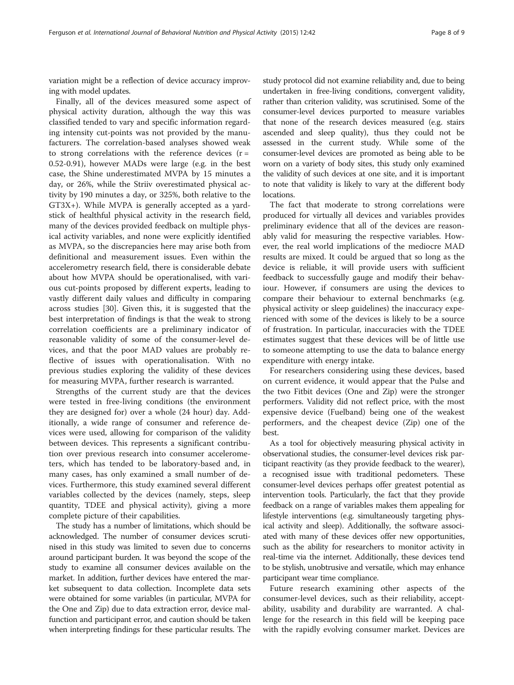variation might be a reflection of device accuracy improving with model updates.

Finally, all of the devices measured some aspect of physical activity duration, although the way this was classified tended to vary and specific information regarding intensity cut-points was not provided by the manufacturers. The correlation-based analyses showed weak to strong correlations with the reference devices  $(r =$ 0.52-0.91), however MADs were large (e.g. in the best case, the Shine underestimated MVPA by 15 minutes a day, or 26%, while the Striiv overestimated physical activity by 190 minutes a day, or 325%, both relative to the GT3X+). While MVPA is generally accepted as a yardstick of healthful physical activity in the research field, many of the devices provided feedback on multiple physical activity variables, and none were explicitly identified as MVPA, so the discrepancies here may arise both from definitional and measurement issues. Even within the accelerometry research field, there is considerable debate about how MVPA should be operationalised, with various cut-points proposed by different experts, leading to vastly different daily values and difficulty in comparing across studies [\[30](#page-8-0)]. Given this, it is suggested that the best interpretation of findings is that the weak to strong correlation coefficients are a preliminary indicator of reasonable validity of some of the consumer-level devices, and that the poor MAD values are probably reflective of issues with operationalisation. With no previous studies exploring the validity of these devices for measuring MVPA, further research is warranted.

Strengths of the current study are that the devices were tested in free-living conditions (the environment they are designed for) over a whole (24 hour) day. Additionally, a wide range of consumer and reference devices were used, allowing for comparison of the validity between devices. This represents a significant contribution over previous research into consumer accelerometers, which has tended to be laboratory-based and, in many cases, has only examined a small number of devices. Furthermore, this study examined several different variables collected by the devices (namely, steps, sleep quantity, TDEE and physical activity), giving a more complete picture of their capabilities.

The study has a number of limitations, which should be acknowledged. The number of consumer devices scrutinised in this study was limited to seven due to concerns around participant burden. It was beyond the scope of the study to examine all consumer devices available on the market. In addition, further devices have entered the market subsequent to data collection. Incomplete data sets were obtained for some variables (in particular, MVPA for the One and Zip) due to data extraction error, device malfunction and participant error, and caution should be taken when interpreting findings for these particular results. The

study protocol did not examine reliability and, due to being undertaken in free-living conditions, convergent validity, rather than criterion validity, was scrutinised. Some of the consumer-level devices purported to measure variables that none of the research devices measured (e.g. stairs ascended and sleep quality), thus they could not be assessed in the current study. While some of the consumer-level devices are promoted as being able to be worn on a variety of body sites, this study only examined the validity of such devices at one site, and it is important to note that validity is likely to vary at the different body locations.

The fact that moderate to strong correlations were produced for virtually all devices and variables provides preliminary evidence that all of the devices are reasonably valid for measuring the respective variables. However, the real world implications of the mediocre MAD results are mixed. It could be argued that so long as the device is reliable, it will provide users with sufficient feedback to successfully gauge and modify their behaviour. However, if consumers are using the devices to compare their behaviour to external benchmarks (e.g. physical activity or sleep guidelines) the inaccuracy experienced with some of the devices is likely to be a source of frustration. In particular, inaccuracies with the TDEE estimates suggest that these devices will be of little use to someone attempting to use the data to balance energy expenditure with energy intake.

For researchers considering using these devices, based on current evidence, it would appear that the Pulse and the two Fitbit devices (One and Zip) were the stronger performers. Validity did not reflect price, with the most expensive device (Fuelband) being one of the weakest performers, and the cheapest device (Zip) one of the best.

As a tool for objectively measuring physical activity in observational studies, the consumer-level devices risk participant reactivity (as they provide feedback to the wearer), a recognised issue with traditional pedometers. These consumer-level devices perhaps offer greatest potential as intervention tools. Particularly, the fact that they provide feedback on a range of variables makes them appealing for lifestyle interventions (e.g. simultaneously targeting physical activity and sleep). Additionally, the software associated with many of these devices offer new opportunities, such as the ability for researchers to monitor activity in real-time via the internet. Additionally, these devices tend to be stylish, unobtrusive and versatile, which may enhance participant wear time compliance.

Future research examining other aspects of the consumer-level devices, such as their reliability, acceptability, usability and durability are warranted. A challenge for the research in this field will be keeping pace with the rapidly evolving consumer market. Devices are